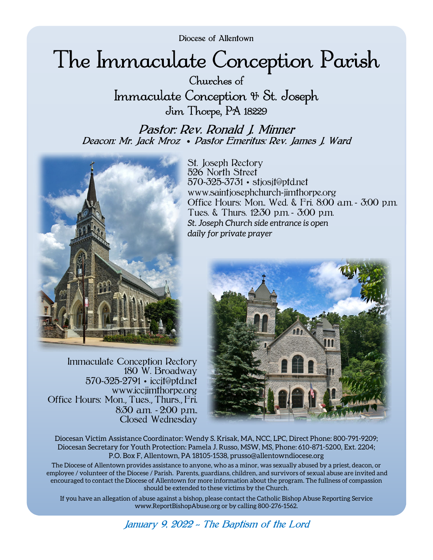Diocese of Allentown

# The Immaculate Conception Parish

Churches of Immaculate Conception & St. Joseph Jim Thorpe, PA 18229

Pastor: Rev. Ronald J. Minner Deacon: Mr. Jack Mroz • Pastor Emeritus: Rev. James J. Ward



Immaculate Conception Rectory 180 W. Broadway 570-325-2791 • iccjt@ptd.net www.iccjimthorpe.org Office Hours: Mon., Tues., Thurs., Fri, 8:30 a.m. - 2:00 p.m., Closed Wednesday

St. Joseph Rectory 526 North Street 570-325-3731 • stjosjt@ptd.net www.saintjosephchurch-jimthorpe.org Office Hours: Mon., Wed. & Fri. 8:00 a.m. - 3:00 p.m. Tues. & Thurs. 12:30 p.m. - 3:00 p.m. *St. Joseph Church side entrance is open daily for private prayer* 



Diocesan Victim Assistance Coordinator: Wendy S. Krisak, MA, NCC, LPC, Direct Phone: 800-791-9209; Diocesan Secretary for Youth Protection: Pamela J. Russo, MSW, MS, Phone: 610-871-5200, Ext. 2204; P.O. Box F, Allentown, PA 18105-1538, prusso@allentowndiocese.org

The Diocese of Allentown provides assistance to anyone, who as a minor, was sexually abused by a priest, deacon, or employee / volunteer of the Diocese / Parish. Parents, guardians, children, and survivors of sexual abuse are invited and encouraged to contact the Diocese of Allentown for more information about the program. The fullness of compassion should be extended to these victims by the Church.

If you have an allegation of abuse against a bishop, please contact the Catholic Bishop Abuse Reporting Service www.ReportBishopAbuse.org or by calling 800-276-1562.

January 9, 2022 *~* The Baptism of the Lord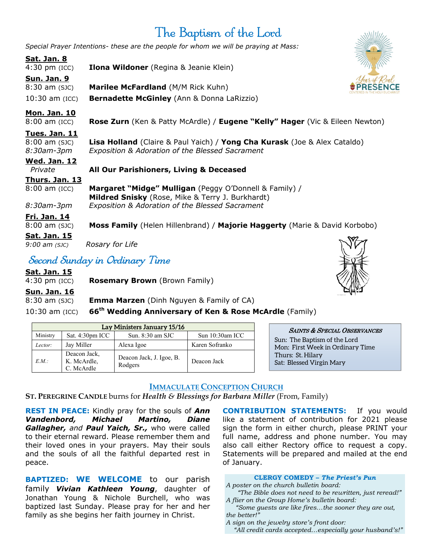# The Baptism of the Lord

*Special Prayer Intentions- these are the people for whom we will be praying at Mass:*

# **Sat. Jan. 8**

4:30 pm (ICC) **Ilona Wildoner** (Regina & Jeanie Klein)

**Sun. Jan. 9**  8:30 am (SJC) **Marilee McFardland** (M/M Rick Kuhn) 10:30 am (ICC) **Bernadette McGinley** (Ann & Donna LaRizzio)



8:00 am (ICC) **Rose Zurn** (Ken & Patty McArdle) / **Eugene "Kelly" Hager** (Vic & Eileen Newton)

#### **Tues. Jan. 11**

| <b>Wed. Jan. 12</b> |                                                                           |
|---------------------|---------------------------------------------------------------------------|
| 8:30am-3pm          | Exposition & Adoration of the Blessed Sacrament                           |
| $8:00$ am $(SJC)$   | Lisa Holland (Claire & Paul Yaich) / Yong Cha Kurask (Joe & Alex Cataldo) |

### *Private* **All Our Parishioners, Living & Deceased**

**Thurs. Jan. 13**



#### **Fri. Jan. 14**

8:00 am (SJC) **Moss Family** (Helen Hillenbrand) / **Majorie Haggerty** (Marie & David Korbobo)

**Sat. Jan. 15**

*9:00 am (SJC) Rosary for Life* 

# Second Sunday in Ordinary Time

**Sat. Jan. 15**

4:30 pm (ICC) **Rosemary Brown** (Brown Family)

**Sun. Jan. 16** 

8:30 am (SJC) **Emma Marzen** (Dinh Nguyen & Family of CA)

10:30 am (ICC) **66th Wedding Anniversary of Ken & Rose McArdle** (Family)

| Lay Ministers January 15/16 |                                           |                                     |                    |  |  |
|-----------------------------|-------------------------------------------|-------------------------------------|--------------------|--|--|
| Ministry                    | Sat. $4:30pm$ ICC                         | Sun. $8:30$ am SJC                  | Sun $10:30$ am ICC |  |  |
| Lector:                     | Jay Miller                                | Alexa Igoe                          | Karen Sofranko     |  |  |
| E.M.                        | Deacon Jack,<br>K. McArdle,<br>C. McArdle | Deacon Jack, J. Igoe, B.<br>Rodgers | Deacon Jack        |  |  |



SAINTS & SPECIAL OBSERVANCES Sun: The Baptism of the Lord Mon: First Week in Ordinary Time Thurs: St. Hilary Sat: Blessed Virgin Mary

### **IMMACULATE CONCEPTION CHURCH**

**ST. PEREGRINE CANDLE** burns for *Health & Blessings for Barbara Miller* (From, Family)

**REST IN PEACE:** Kindly pray for the souls of *Ann Vandenbord, Michael Martino, Diane Gallagher, and Paul Yaich, Sr.,* who were called to their eternal reward. Please remember them and their loved ones in your prayers. May their souls and the souls of all the faithful departed rest in peace.

**BAPTIZED: WE WELCOME** to our parish family *Vivian Kathleen Young*, daughter of Jonathan Young & Nichole Burchell, who was baptized last Sunday. Please pray for her and her family as she begins her faith journey in Christ.

**CONTRIBUTION STATEMENTS:** If you would like a statement of contribution for 2021 please sign the form in either church, please PRINT your full name, address and phone number. You may also call either Rectory office to request a copy. Statements will be prepared and mailed at the end of January.

#### **CLERGY COMEDY –** *The Priest's Pun*

*A poster on the church bulletin board:* 

 *"The Bible does not need to be rewritten, just reread!" A flier on the Group Home's bulletin board:* 

 *"Some guests are like fires…the sooner they are out, the better!"* 

*A sign on the jewelry store's front door:* 

 *"All credit cards accepted…especially your husband's!"*